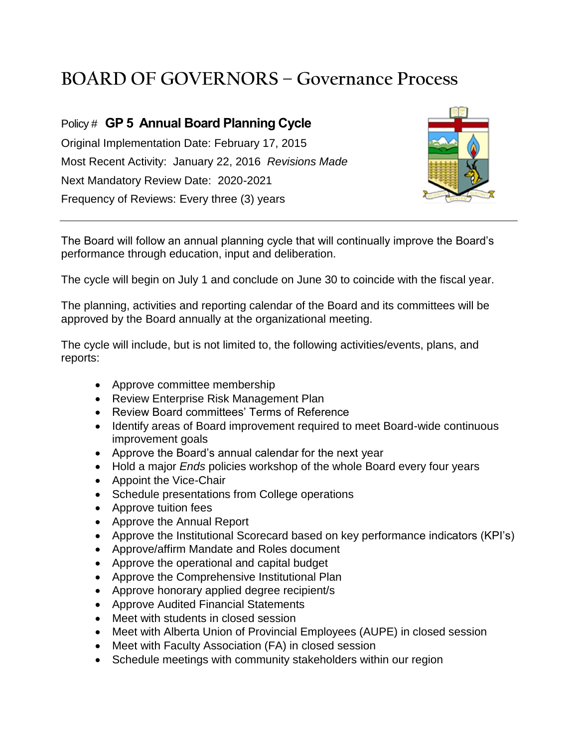## **BOARD OF GOVERNORS – Governance Process**

## Policy # **GP 5 Annual Board Planning Cycle**

Original Implementation Date: February 17, 2015 Most Recent Activity: January 22, 2016 *Revisions Made* Next Mandatory Review Date: 2020-2021 Frequency of Reviews: Every three (3) years



The Board will follow an annual planning cycle that will continually improve the Board's performance through education, input and deliberation.

The cycle will begin on July 1 and conclude on June 30 to coincide with the fiscal year.

The planning, activities and reporting calendar of the Board and its committees will be approved by the Board annually at the organizational meeting.

The cycle will include, but is not limited to, the following activities/events, plans, and reports:

- Approve committee membership
- Review Enterprise Risk Management Plan
- Review Board committees' Terms of Reference
- Identify areas of Board improvement required to meet Board-wide continuous improvement goals
- Approve the Board's annual calendar for the next year
- Hold a major *Ends* policies workshop of the whole Board every four years
- Appoint the Vice-Chair
- Schedule presentations from College operations
- Approve tuition fees
- Approve the Annual Report
- Approve the Institutional Scorecard based on key performance indicators (KPI's)
- Approve/affirm Mandate and Roles document
- Approve the operational and capital budget
- Approve the Comprehensive Institutional Plan
- Approve honorary applied degree recipient/s
- Approve Audited Financial Statements
- Meet with students in closed session
- Meet with Alberta Union of Provincial Employees (AUPE) in closed session
- Meet with Faculty Association (FA) in closed session
- Schedule meetings with community stakeholders within our region